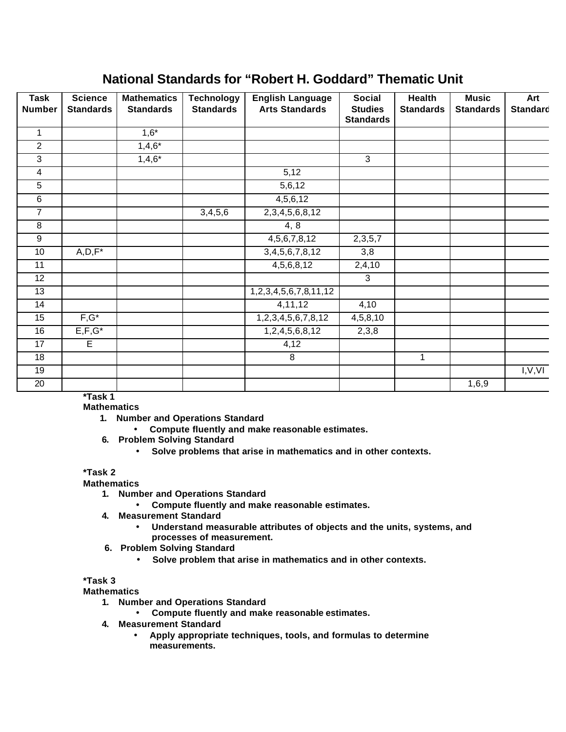# **National Standards for "Robert H. Goddard" Thematic Unit**

| <b>Task</b><br><b>Number</b> | <b>Science</b><br><b>Standards</b> | <b>Mathematics</b><br><b>Standards</b> | <b>Technology</b><br><b>Standards</b> | <b>English Language</b><br><b>Arts Standards</b> | <b>Social</b><br><b>Studies</b><br><b>Standards</b> | <b>Health</b><br><b>Standards</b> | <b>Music</b><br><b>Standards</b> | Art<br><b>Standard</b> |
|------------------------------|------------------------------------|----------------------------------------|---------------------------------------|--------------------------------------------------|-----------------------------------------------------|-----------------------------------|----------------------------------|------------------------|
| $\mathbf{1}$                 |                                    | $1,6*$                                 |                                       |                                                  |                                                     |                                   |                                  |                        |
| $\overline{2}$               |                                    | $1,4,6*$                               |                                       |                                                  |                                                     |                                   |                                  |                        |
| 3                            |                                    | $1,4,6*$                               |                                       |                                                  | 3                                                   |                                   |                                  |                        |
| $\overline{4}$               |                                    |                                        |                                       | 5,12                                             |                                                     |                                   |                                  |                        |
| 5                            |                                    |                                        |                                       | 5,6,12                                           |                                                     |                                   |                                  |                        |
| 6                            |                                    |                                        |                                       | 4,5,6,12                                         |                                                     |                                   |                                  |                        |
| $\overline{7}$               |                                    |                                        | 3,4,5,6                               | 2, 3, 4, 5, 6, 8, 12                             |                                                     |                                   |                                  |                        |
| $\,8\,$                      |                                    |                                        |                                       | 4, 8                                             |                                                     |                                   |                                  |                        |
| $\overline{9}$               |                                    |                                        |                                       | 4,5,6,7,8,12                                     | 2,3,5,7                                             |                                   |                                  |                        |
| 10                           | $A, D, F^*$                        |                                        |                                       | 3,4,5,6,7,8,12                                   | 3,8                                                 |                                   |                                  |                        |
| 11                           |                                    |                                        |                                       | 4,5,6,8,12                                       | 2,4,10                                              |                                   |                                  |                        |
| 12                           |                                    |                                        |                                       |                                                  | 3                                                   |                                   |                                  |                        |
| 13                           |                                    |                                        |                                       | 1,2,3,4,5,6,7,8,11,12                            |                                                     |                                   |                                  |                        |
| 14                           |                                    |                                        |                                       | 4,11,12                                          | 4,10                                                |                                   |                                  |                        |
| 15                           | $F,G^*$                            |                                        |                                       | 1, 2, 3, 4, 5, 6, 7, 8, 12                       | 4,5,8,10                                            |                                   |                                  |                        |
| 16                           | $E, F, G^*$                        |                                        |                                       | 1,2,4,5,6,8,12                                   | 2,3,8                                               |                                   |                                  |                        |
| 17                           | $\overline{E}$                     |                                        |                                       | 4,12                                             |                                                     |                                   |                                  |                        |
| 18                           |                                    |                                        |                                       | 8                                                |                                                     | $\mathbf{1}$                      |                                  |                        |
| 19                           |                                    |                                        |                                       |                                                  |                                                     |                                   |                                  | I, V, VI               |
| 20                           |                                    |                                        |                                       |                                                  |                                                     |                                   | 1,6,9                            |                        |

**\*Task 1** 

**Mathematics**

- **1. Number and Operations Standard**
	- **Compute fluently and make reasonable estimates.**
- **6. Problem Solving Standard**
	- **Solve problems that arise in mathematics and in other contexts.**

## **\*Task 2**

### **Mathematics**

- **1. Number and Operations Standard**
	- **Compute fluently and make reasonable estimates.**
- **4. Measurement Standard**
	- **Understand measurable attributes of objects and the units, systems, and processes of measurement.**
- **6. Problem Solving Standard**
	- **Solve problem that arise in mathematics and in other contexts.**

## **\*Task 3**

**Mathematics**

- **1. Number and Operations Standard**
	- **Compute fluently and make reasonable estimates.**
- **4. Measurement Standard**
	- **Apply appropriate techniques, tools, and formulas to determine measurements.**